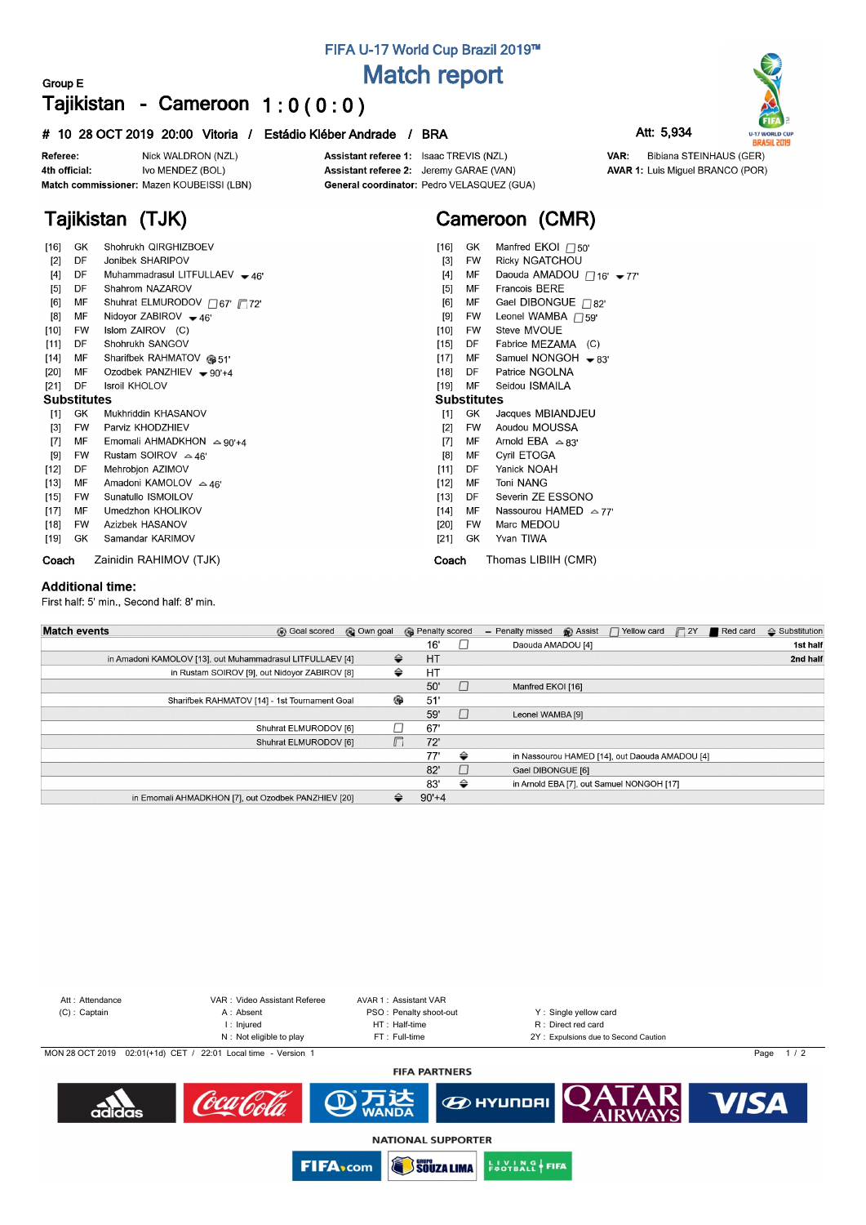# **FIFA U-17 World Cup Brazil 2019™ Match report**

## **Group E Tajikistan - Cameroon 1 : 0 ( 0 : 0 )**

#### **# 10 28 OCT 2019 20:00 Vitoria / Estádio Kléber Andrade / BRA Att: 5,934**

Nick WALDRON (NZL) Referee: Ivo MENDEZ (BOL) 4th official: Match commissioner: Mazen KOUBEISSI (LBN)

**Tajikistan (TJK)**

Assistant referee 1: Isaac TREVIS (NZL) Assistant referee 2: Jeremy GARAE (VAN) General coordinator: Pedro VELASQUEZ (GUA)

# **Cameroon (CMR)**

| $[16]$             | GK.       | Shohrukh QIRGHIZBOEV              | $[16]$<br>GK       | Manfred EKOI $\Box$ 50'         |
|--------------------|-----------|-----------------------------------|--------------------|---------------------------------|
| $[2]$              | DF        | Jonibek SHARIPOV                  | FW<br>$[3]$        | <b>Ricky NGATCHOU</b>           |
| $[4]$              | DF        | Muhammadrasul LITFULLAEV - 46'    | МF<br>$[4]$        | Daouda AMADOU □16' - 77         |
| $[5]$              | DF        | Shahrom NAZAROV                   | MF<br>$[5]$        | <b>Francois BERE</b>            |
| [6]                | MF        | Shuhrat ELMURODOV / 67' / 72'     | MF<br>[6]          | Gael DIBONGUE $\Box$ 82'        |
| [8]                | МF        | Nidoyor ZABIROV $-46'$            | <b>FW</b><br>[9]   | Leonel WAMBA $\Box$ 59'         |
| $[10]$             | FW        | Islom ZAIROV (C)                  | [10]<br><b>FW</b>  | Steve MVOUE                     |
| $[11]$             | DF        | Shohrukh SANGOV                   | $[15]$<br>DF       | Fabrice MEZAMA (C)              |
| $[14]$             | MF        | Sharifbek RAHMATOV @ 51'          | $[17]$<br>MF       | Samuel NONGOH $\rightarrow$ 83' |
| [20]               | МF        | Ozodbek PANZHIEV $-90+4$          | $[18]$<br>DF       | Patrice NGOLNA                  |
| $[21]$             | DF        | <b>Isroil KHOLOV</b>              | $[19]$<br>MF       | Seidou ISMAILA                  |
| <b>Substitutes</b> |           |                                   | <b>Substitutes</b> |                                 |
| $[1]$              | GK        | Mukhriddin KHASANOV               | GK<br>[1]          | Jacques MBIANDJEU               |
| $[3]$              | <b>FW</b> | Parviz KHODZHIEV                  | <b>FW</b><br>$[2]$ | Aoudou MOUSSA                   |
| $[7]$              | МF        | Emomali AHMADKHON $\approx$ 90'+4 | MF<br>[7]          | Arnold EBA $\approx$ 83'        |
| [9]                | FW        | Rustam SOIROV $\approx$ 46'       | [8]<br>MF          | Cyril ETOGA                     |
| $[12]$             | DF        | Mehrobjon AZIMOV                  | [11]<br>DF         | Yanick NOAH                     |
| $[13]$             | MF        | Amadoni KAMOLOV $\triangle$ 46'   | $[12]$<br>MF       | <b>Toni NANG</b>                |
| $[15]$             | <b>FW</b> | Sunatullo ISMOILOV                | $[13]$<br>DF       | Severin ZE ESSONO               |
| $[17]$             | MF        | Umedzhon KHOLIKOV                 | [14]<br>МF         | Nassourou HAMED $\sim$ 77'      |
| $[18]$             | <b>FW</b> | Azizbek HASANOV                   | [20]<br>FW         | Marc MEDOU                      |
| [19]               | GK        | Samandar KARIMOV                  | GK<br>[21]         | Yvan TIWA                       |
| Coach              |           | Zainidin RAHIMOV (TJK)            | Coach              | Thomas LIBIIH (CMR)             |

#### **Additional time:**

First half: 5' min., Second half: 8' min.

| <b>Match events</b><br>© Own goal<br><b>B</b> Goal scored |        | <b>B</b> Penalty scored |         | <b>B</b> Assist<br>Yellow card<br>$\Box$ 2Y<br>Red card<br>- Penalty missed | $\triangle$ Substitution |
|-----------------------------------------------------------|--------|-------------------------|---------|-----------------------------------------------------------------------------|--------------------------|
|                                                           |        | 16'                     |         | Daouda AMADOU [4]                                                           | 1st half                 |
| in Amadoni KAMOLOV [13], out Muhammadrasul LITFULLAEV [4] | ⇔      | <b>HT</b>               |         |                                                                             | 2nd half                 |
| in Rustam SOIROV [9], out Nidoyor ZABIROV [8]             | ⇔      | HT                      |         |                                                                             |                          |
|                                                           |        | 50'                     | $\vert$ | Manfred EKOI [16]                                                           |                          |
| Sharifbek RAHMATOV [14] - 1st Tournament Goal             | ⊕      | 51'                     |         |                                                                             |                          |
|                                                           |        | 59'                     |         | Leonel WAMBA [9]                                                            |                          |
| Shuhrat ELMURODOV [6]                                     |        | 67'                     |         |                                                                             |                          |
| Shuhrat ELMURODOV [6]                                     | $\Box$ | 72'                     |         |                                                                             |                          |
|                                                           |        | 77'                     | ⇔       | in Nassourou HAMED [14], out Daouda AMADOU [4]                              |                          |
|                                                           |        | 82'                     | $\vert$ | Gael DIBONGUE [6]                                                           |                          |
|                                                           |        | 83'                     | ⇔       | in Arnold EBA [7], out Samuel NONGOH [17]                                   |                          |
| in Emomali AHMADKHON [7], out Ozodbek PANZHIEV [20]       | ⇔      | $90'+4$                 |         |                                                                             |                          |





VAR: Bibiana STEINHAUS (GER) **AVAR 1:** Luis Miguel BRANCO (POR)